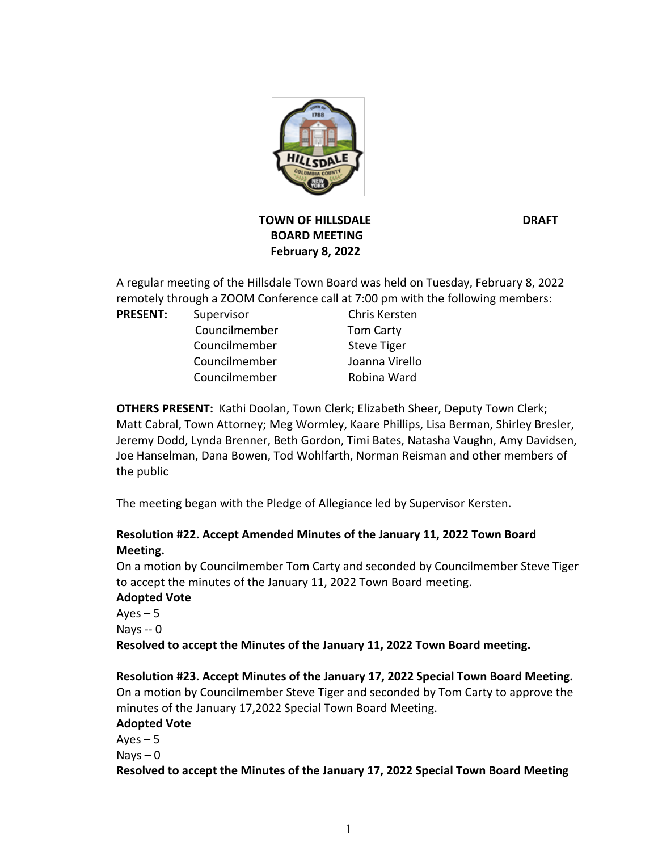

# **TOWN OF HILLSDALE DRAFT BOARD MEETING February 8, 2022**

A regular meeting of the Hillsdale Town Board was held on Tuesday, February 8, 2022 remotely through a ZOOM Conference call at 7:00 pm with the following members:

#### PRESENT: Supervisor Chris Kersten

**Councilmember** Tom Carty Councilmember Steve Tiger Councilmember Joanna Virello Councilmember Robina Ward

**OTHERS PRESENT:** Kathi Doolan, Town Clerk; Elizabeth Sheer, Deputy Town Clerk; Matt Cabral, Town Attorney; Meg Wormley, Kaare Phillips, Lisa Berman, Shirley Bresler, Jeremy Dodd, Lynda Brenner, Beth Gordon, Timi Bates, Natasha Vaughn, Amy Davidsen, Joe Hanselman, Dana Bowen, Tod Wohlfarth, Norman Reisman and other members of the public

The meeting began with the Pledge of Allegiance led by Supervisor Kersten.

# **Resolution #22. Accept Amended Minutes of the January 11, 2022 Town Board Meeting.**

On a motion by Councilmember Tom Carty and seconded by Councilmember Steve Tiger to accept the minutes of the January 11, 2022 Town Board meeting.

### **Adopted Vote**

 $Ayes - 5$ Nays -- 0 **Resolved to accept the Minutes of the January 11, 2022 Town Board meeting.**

# **Resolution #23. Accept Minutes of the January 17, 2022 Special Town Board Meeting.**

On a motion by Councilmember Steve Tiger and seconded by Tom Carty to approve the minutes of the January 17,2022 Special Town Board Meeting.

# **Adopted Vote**

 $Ayes - 5$  $Nays - 0$ **Resolved to accept the Minutes of the January 17, 2022 Special Town Board Meeting**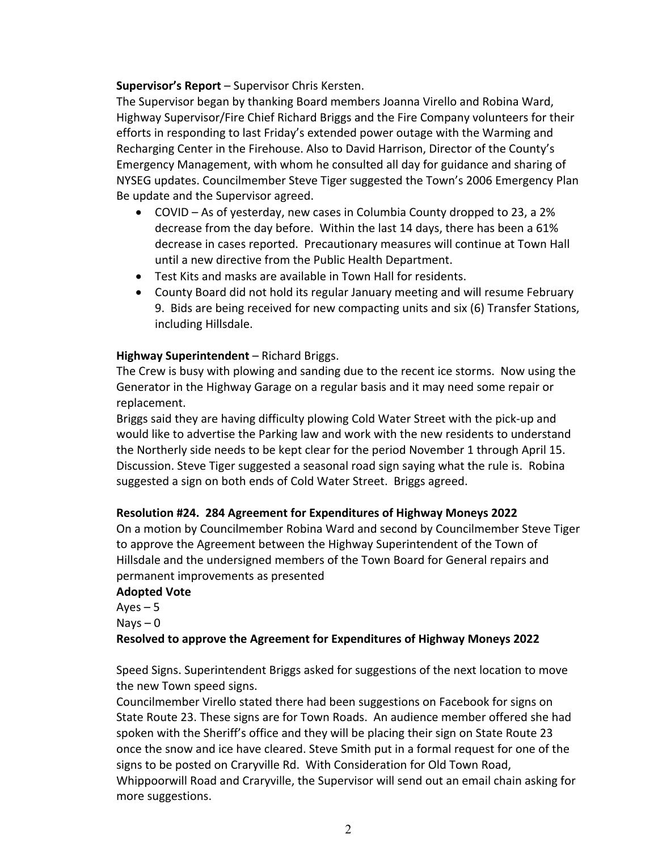### **Supervisor's Report** – Supervisor Chris Kersten.

The Supervisor began by thanking Board members Joanna Virello and Robina Ward, Highway Supervisor/Fire Chief Richard Briggs and the Fire Company volunteers for their efforts in responding to last Friday's extended power outage with the Warming and Recharging Center in the Firehouse. Also to David Harrison, Director of the County's Emergency Management, with whom he consulted all day for guidance and sharing of NYSEG updates. Councilmember Steve Tiger suggested the Town's 2006 Emergency Plan Be update and the Supervisor agreed.

- COVID As of yesterday, new cases in Columbia County dropped to 23, a 2% decrease from the day before. Within the last 14 days, there has been a 61% decrease in cases reported. Precautionary measures will continue at Town Hall until a new directive from the Public Health Department.
- Test Kits and masks are available in Town Hall for residents.
- County Board did not hold its regular January meeting and will resume February 9. Bids are being received for new compacting units and six (6) Transfer Stations, including Hillsdale.

# **Highway Superintendent** – Richard Briggs.

The Crew is busy with plowing and sanding due to the recent ice storms. Now using the Generator in the Highway Garage on a regular basis and it may need some repair or replacement.

Briggs said they are having difficulty plowing Cold Water Street with the pick-up and would like to advertise the Parking law and work with the new residents to understand the Northerly side needs to be kept clear for the period November 1 through April 15. Discussion. Steve Tiger suggested a seasonal road sign saying what the rule is. Robina suggested a sign on both ends of Cold Water Street. Briggs agreed.

# **Resolution #24. 284 Agreement for Expenditures of Highway Moneys 2022**

On a motion by Councilmember Robina Ward and second by Councilmember Steve Tiger to approve the Agreement between the Highway Superintendent of the Town of Hillsdale and the undersigned members of the Town Board for General repairs and permanent improvements as presented

### **Adopted Vote**

Ayes  $-5$  $N$ ays  $-0$ 

# **Resolved to approve the Agreement for Expenditures of Highway Moneys 2022**

Speed Signs. Superintendent Briggs asked for suggestions of the next location to move the new Town speed signs.

Councilmember Virello stated there had been suggestions on Facebook for signs on State Route 23. These signs are for Town Roads. An audience member offered she had spoken with the Sheriff's office and they will be placing their sign on State Route 23 once the snow and ice have cleared. Steve Smith put in a formal request for one of the signs to be posted on Craryville Rd. With Consideration for Old Town Road, Whippoorwill Road and Craryville, the Supervisor will send out an email chain asking for more suggestions.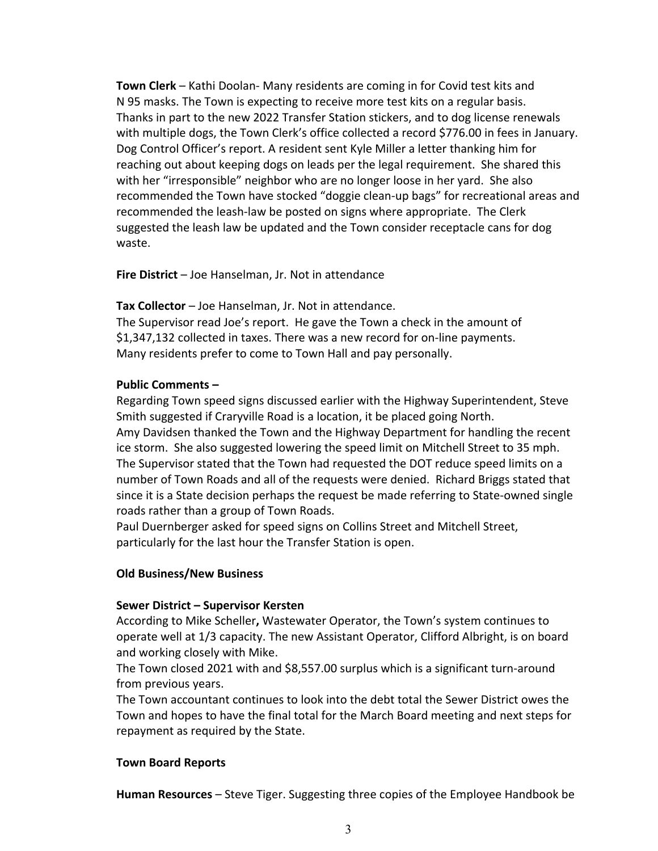**Town Clerk** – Kathi Doolan- Many residents are coming in for Covid test kits and N 95 masks. The Town is expecting to receive more test kits on a regular basis. Thanks in part to the new 2022 Transfer Station stickers, and to dog license renewals with multiple dogs, the Town Clerk's office collected a record \$776.00 in fees in January. Dog Control Officer's report. A resident sent Kyle Miller a letter thanking him for reaching out about keeping dogs on leads per the legal requirement. She shared this with her "irresponsible" neighbor who are no longer loose in her yard. She also recommended the Town have stocked "doggie clean-up bags" for recreational areas and recommended the leash-law be posted on signs where appropriate. The Clerk suggested the leash law be updated and the Town consider receptacle cans for dog waste.

**Fire District** – Joe Hanselman, Jr. Not in attendance

**Tax Collector** – Joe Hanselman, Jr. Not in attendance.

The Supervisor read Joe's report. He gave the Town a check in the amount of \$1,347,132 collected in taxes. There was a new record for on-line payments. Many residents prefer to come to Town Hall and pay personally.

### **Public Comments –**

Regarding Town speed signs discussed earlier with the Highway Superintendent, Steve Smith suggested if Craryville Road is a location, it be placed going North. Amy Davidsen thanked the Town and the Highway Department for handling the recent ice storm. She also suggested lowering the speed limit on Mitchell Street to 35 mph. The Supervisor stated that the Town had requested the DOT reduce speed limits on a number of Town Roads and all of the requests were denied. Richard Briggs stated that since it is a State decision perhaps the request be made referring to State-owned single roads rather than a group of Town Roads.

Paul Duernberger asked for speed signs on Collins Street and Mitchell Street, particularly for the last hour the Transfer Station is open.

### **Old Business/New Business**

#### **Sewer District – Supervisor Kersten**

According to Mike Scheller**,** Wastewater Operator, the Town's system continues to operate well at 1/3 capacity. The new Assistant Operator, Clifford Albright, is on board and working closely with Mike.

The Town closed 2021 with and \$8,557.00 surplus which is a significant turn-around from previous years.

The Town accountant continues to look into the debt total the Sewer District owes the Town and hopes to have the final total for the March Board meeting and next steps for repayment as required by the State.

### **Town Board Reports**

**Human Resources** – Steve Tiger. Suggesting three copies of the Employee Handbook be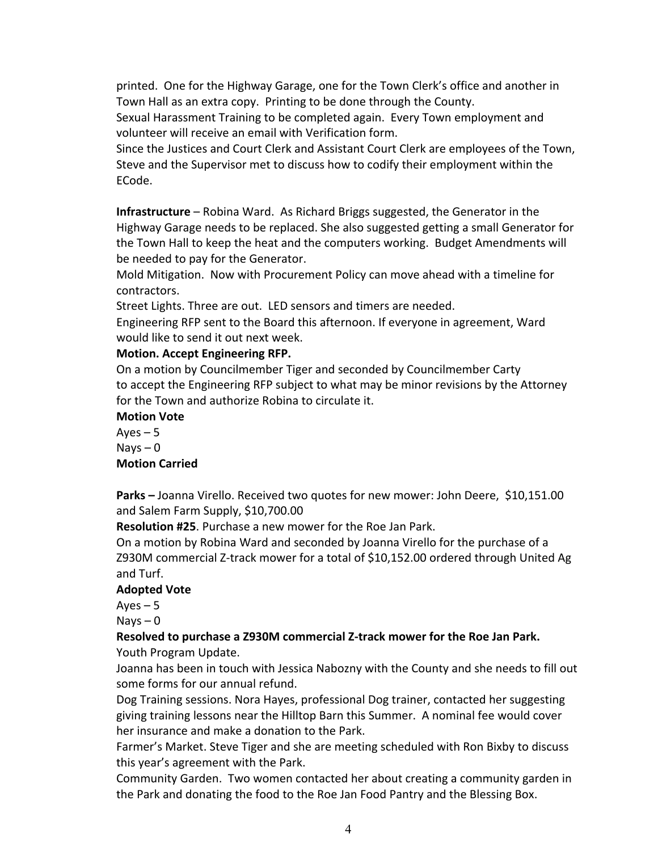printed. One for the Highway Garage, one for the Town Clerk's office and another in Town Hall as an extra copy. Printing to be done through the County.

Sexual Harassment Training to be completed again. Every Town employment and volunteer will receive an email with Verification form.

Since the Justices and Court Clerk and Assistant Court Clerk are employees of the Town, Steve and the Supervisor met to discuss how to codify their employment within the ECode.

**Infrastructure** – Robina Ward. As Richard Briggs suggested, the Generator in the Highway Garage needs to be replaced. She also suggested getting a small Generator for the Town Hall to keep the heat and the computers working. Budget Amendments will be needed to pay for the Generator.

Mold Mitigation. Now with Procurement Policy can move ahead with a timeline for contractors.

Street Lights. Three are out. LED sensors and timers are needed.

Engineering RFP sent to the Board this afternoon. If everyone in agreement, Ward would like to send it out next week.

#### **Motion. Accept Engineering RFP.**

On a motion by Councilmember Tiger and seconded by Councilmember Carty to accept the Engineering RFP subject to what may be minor revisions by the Attorney for the Town and authorize Robina to circulate it.

#### **Motion Vote**

Ayes  $-5$  $Nays - 0$ **Motion Carried**

**Parks –** Joanna Virello. Received two quotes for new mower: John Deere, \$10,151.00 and Salem Farm Supply, \$10,700.00

**Resolution #25**. Purchase a new mower for the Roe Jan Park.

On a motion by Robina Ward and seconded by Joanna Virello for the purchase of a Z930M commercial Z-track mower for a total of \$10,152.00 ordered through United Ag and Turf.

### **Adopted Vote**

 $Ayes - 5$ 

 $Nays - 0$ 

### **Resolved to purchase a Z930M commercial Z-track mower for the Roe Jan Park.** Youth Program Update.

Joanna has been in touch with Jessica Nabozny with the County and she needs to fill out some forms for our annual refund.

Dog Training sessions. Nora Hayes, professional Dog trainer, contacted her suggesting giving training lessons near the Hilltop Barn this Summer. A nominal fee would cover her insurance and make a donation to the Park.

Farmer's Market. Steve Tiger and she are meeting scheduled with Ron Bixby to discuss this year's agreement with the Park.

Community Garden. Two women contacted her about creating a community garden in the Park and donating the food to the Roe Jan Food Pantry and the Blessing Box.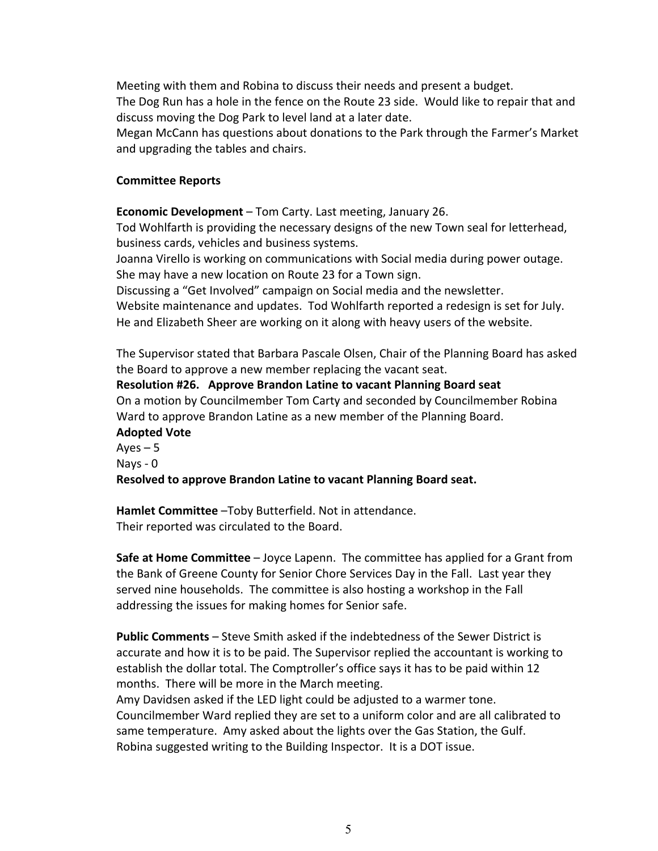Meeting with them and Robina to discuss their needs and present a budget. The Dog Run has a hole in the fence on the Route 23 side. Would like to repair that and discuss moving the Dog Park to level land at a later date.

Megan McCann has questions about donations to the Park through the Farmer's Market and upgrading the tables and chairs.

#### **Committee Reports**

**Economic Development** – Tom Carty. Last meeting, January 26.

Tod Wohlfarth is providing the necessary designs of the new Town seal for letterhead, business cards, vehicles and business systems.

Joanna Virello is working on communications with Social media during power outage. She may have a new location on Route 23 for a Town sign.

Discussing a "Get Involved" campaign on Social media and the newsletter.

Website maintenance and updates. Tod Wohlfarth reported a redesign is set for July. He and Elizabeth Sheer are working on it along with heavy users of the website.

The Supervisor stated that Barbara Pascale Olsen, Chair of the Planning Board has asked the Board to approve a new member replacing the vacant seat.

**Resolution #26. Approve Brandon Latine to vacant Planning Board seat** On a motion by Councilmember Tom Carty and seconded by Councilmember Robina Ward to approve Brandon Latine as a new member of the Planning Board.

**Adopted Vote**  $Ayes - 5$ Nays - 0 **Resolved to approve Brandon Latine to vacant Planning Board seat.**

**Hamlet Committee** –Toby Butterfield. Not in attendance. Their reported was circulated to the Board.

**Safe at Home Committee** – Joyce Lapenn. The committee has applied for a Grant from the Bank of Greene County for Senior Chore Services Day in the Fall. Last year they served nine households. The committee is also hosting a workshop in the Fall addressing the issues for making homes for Senior safe.

**Public Comments** – Steve Smith asked if the indebtedness of the Sewer District is accurate and how it is to be paid. The Supervisor replied the accountant is working to establish the dollar total. The Comptroller's office says it has to be paid within 12 months. There will be more in the March meeting.

Amy Davidsen asked if the LED light could be adjusted to a warmer tone. Councilmember Ward replied they are set to a uniform color and are all calibrated to same temperature. Amy asked about the lights over the Gas Station, the Gulf. Robina suggested writing to the Building Inspector. It is a DOT issue.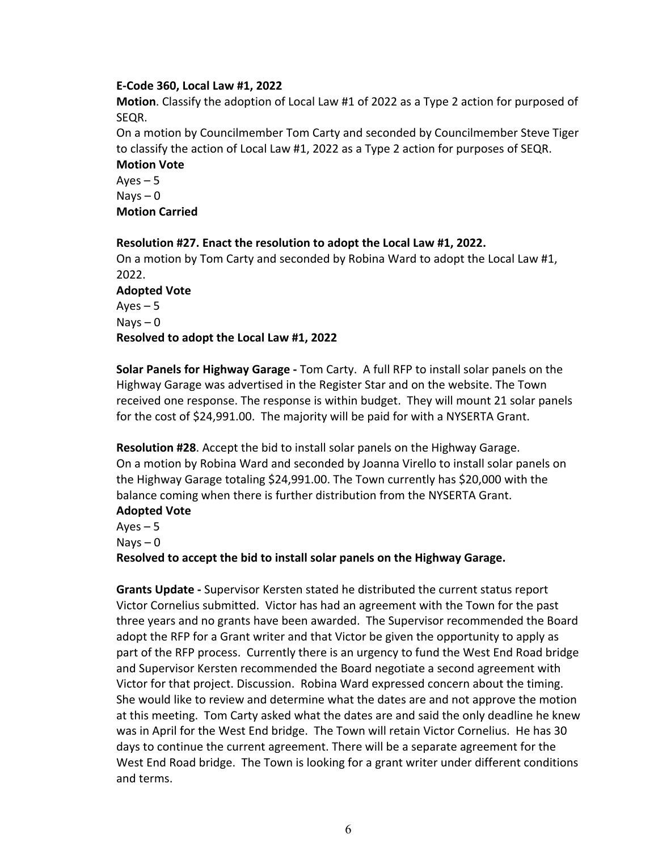### **E-Code 360, Local Law #1, 2022**

**Motion**. Classify the adoption of Local Law #1 of 2022 as a Type 2 action for purposed of SEQR.

On a motion by Councilmember Tom Carty and seconded by Councilmember Steve Tiger to classify the action of Local Law #1, 2022 as a Type 2 action for purposes of SEQR. **Motion Vote**

 $Ayes - 5$  $N$ ays  $-0$ **Motion Carried**

**Resolution #27. Enact the resolution to adopt the Local Law #1, 2022.** On a motion by Tom Carty and seconded by Robina Ward to adopt the Local Law #1, 2022. **Adopted Vote**   $Ayes - 5$  $Nays - 0$ **Resolved to adopt the Local Law #1, 2022**

**Solar Panels for Highway Garage -** Tom Carty. A full RFP to install solar panels on the Highway Garage was advertised in the Register Star and on the website. The Town received one response. The response is within budget. They will mount 21 solar panels for the cost of \$24,991.00. The majority will be paid for with a NYSERTA Grant.

**Resolution #28**. Accept the bid to install solar panels on the Highway Garage. On a motion by Robina Ward and seconded by Joanna Virello to install solar panels on the Highway Garage totaling \$24,991.00. The Town currently has \$20,000 with the balance coming when there is further distribution from the NYSERTA Grant. **Adopted Vote**

Ayes  $-5$ Nays – 0

**Resolved to accept the bid to install solar panels on the Highway Garage.**

**Grants Update -** Supervisor Kersten stated he distributed the current status report Victor Cornelius submitted. Victor has had an agreement with the Town for the past three years and no grants have been awarded. The Supervisor recommended the Board adopt the RFP for a Grant writer and that Victor be given the opportunity to apply as part of the RFP process. Currently there is an urgency to fund the West End Road bridge and Supervisor Kersten recommended the Board negotiate a second agreement with Victor for that project. Discussion. Robina Ward expressed concern about the timing. She would like to review and determine what the dates are and not approve the motion at this meeting. Tom Carty asked what the dates are and said the only deadline he knew was in April for the West End bridge. The Town will retain Victor Cornelius. He has 30 days to continue the current agreement. There will be a separate agreement for the West End Road bridge. The Town is looking for a grant writer under different conditions and terms.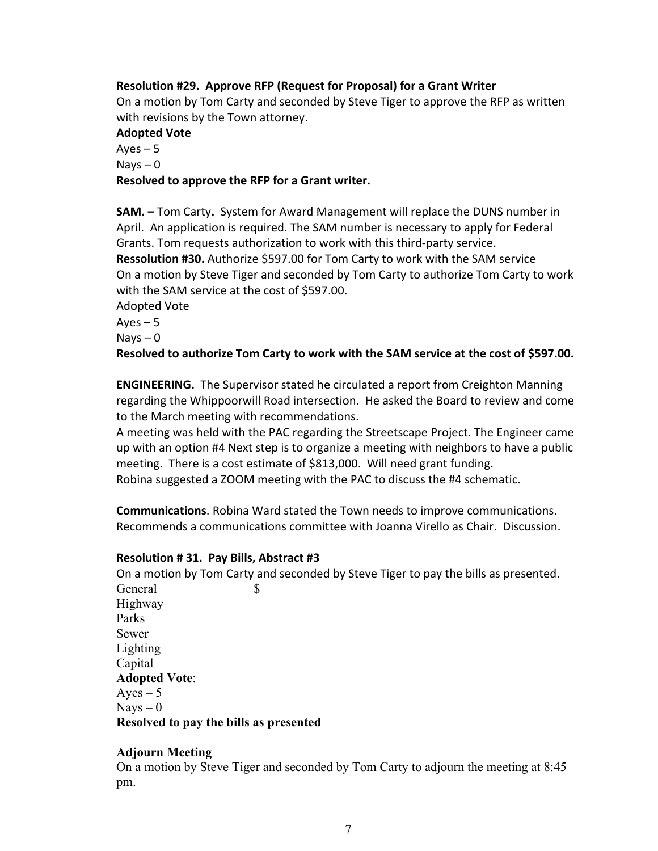### **Resolution #29. Approve RFP (Request for Proposal) for a Grant Writer**

On a motion by Tom Carty and seconded by Steve Tiger to approve the RFP as written with revisions by the Town attorney.

#### **Adopted Vote**

 $Ayes - 5$  $N$ ays  $-0$ **Resolved to approve the RFP for a Grant writer.**

**SAM. –** Tom Carty**.** System for Award Management will replace the DUNS number in April. An application is required. The SAM number is necessary to apply for Federal Grants. Tom requests authorization to work with this third-party service. **Ressolution #30.** Authorize \$597.00 for Tom Carty to work with the SAM service On a motion by Steve Tiger and seconded by Tom Carty to authorize Tom Carty to work with the SAM service at the cost of \$597.00.

Adopted Vote

 $Ayes - 5$ 

 $N$ ays  $-0$ 

**Resolved to authorize Tom Carty to work with the SAM service at the cost of \$597.00.**

**ENGINEERING.** The Supervisor stated he circulated a report from Creighton Manning regarding the Whippoorwill Road intersection. He asked the Board to review and come to the March meeting with recommendations.

A meeting was held with the PAC regarding the Streetscape Project. The Engineer came up with an option #4 Next step is to organize a meeting with neighbors to have a public meeting. There is a cost estimate of \$813,000. Will need grant funding. Robina suggested a ZOOM meeting with the PAC to discuss the #4 schematic.

**Communications**. Robina Ward stated the Town needs to improve communications. Recommends a communications committee with Joanna Virello as Chair. Discussion.

### **Resolution # 31. Pay Bills, Abstract #3**

On a motion by Tom Carty and seconded by Steve Tiger to pay the bills as presented. General \$ Highway Parks Sewer Lighting Capital **Adopted Vote**:  $Aves - 5$  $Nays - 0$ **Resolved to pay the bills as presented** 

### **Adjourn Meeting**

On a motion by Steve Tiger and seconded by Tom Carty to adjourn the meeting at 8:45 pm.